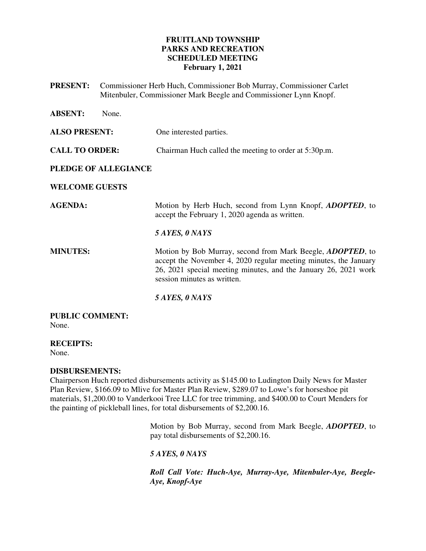### **FRUITLAND TOWNSHIP PARKS AND RECREATION SCHEDULED MEETING February 1, 2021**

**PRESENT:** Commissioner Herb Huch, Commissioner Bob Murray, Commissioner Carlet Mitenbuler, Commissioner Mark Beegle and Commissioner Lynn Knopf.

| <b>ABSENT:</b>                  | None.                |                                                                                                                                                                                                                                          |
|---------------------------------|----------------------|------------------------------------------------------------------------------------------------------------------------------------------------------------------------------------------------------------------------------------------|
| <b>ALSO PRESENT:</b>            |                      | One interested parties.                                                                                                                                                                                                                  |
| <b>CALL TO ORDER:</b>           |                      | Chairman Huch called the meeting to order at 5:30p.m.                                                                                                                                                                                    |
|                                 | PLEDGE OF ALLEGIANCE |                                                                                                                                                                                                                                          |
| <b>WELCOME GUESTS</b>           |                      |                                                                                                                                                                                                                                          |
| <b>AGENDA:</b>                  |                      | Motion by Herb Huch, second from Lynn Knopf, <i>ADOPTED</i> , to<br>accept the February 1, 2020 agenda as written.                                                                                                                       |
|                                 |                      | 5 AYES, 0 NAYS                                                                                                                                                                                                                           |
| <b>MINUTES:</b>                 |                      | Motion by Bob Murray, second from Mark Beegle, <i>ADOPTED</i> , to<br>accept the November 4, 2020 regular meeting minutes, the January<br>26, 2021 special meeting minutes, and the January 26, 2021 work<br>session minutes as written. |
|                                 |                      | 5 AYES, 0 NAYS                                                                                                                                                                                                                           |
| <b>PUBLIC COMMENT:</b><br>None. |                      |                                                                                                                                                                                                                                          |

**RECEIPTS:** 

None.

### **DISBURSEMENTS:**

Chairperson Huch reported disbursements activity as \$145.00 to Ludington Daily News for Master Plan Review, \$166.09 to Mlive for Master Plan Review, \$289.07 to Lowe's for horseshoe pit materials, \$1,200.00 to Vanderkooi Tree LLC for tree trimming, and \$400.00 to Court Menders for the painting of pickleball lines, for total disbursements of \$2,200.16.

> Motion by Bob Murray, second from Mark Beegle, *ADOPTED*, to pay total disbursements of \$2,200.16.

*5 AYES, 0 NAYS* 

*Roll Call Vote: Huch-Aye, Murray-Aye, Mitenbuler-Aye, Beegle-Aye, Knopf-Aye*